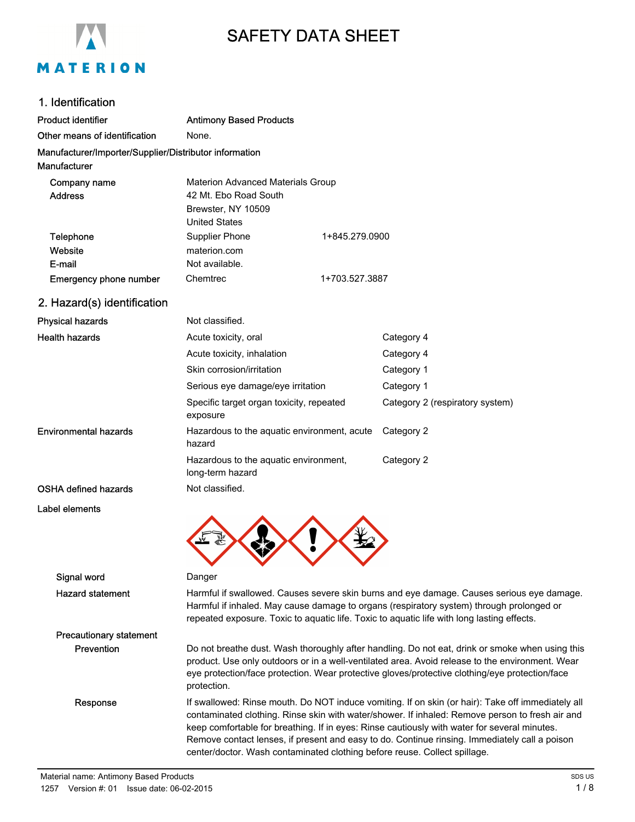

# SAFETY DATA SHEET

## 1. Identification

| Product identifier                                                     | <b>Antimony Based Products</b>                                                                                                                                   |                |                                                                                         |
|------------------------------------------------------------------------|------------------------------------------------------------------------------------------------------------------------------------------------------------------|----------------|-----------------------------------------------------------------------------------------|
| Other means of identification                                          | None.                                                                                                                                                            |                |                                                                                         |
| Manufacturer/Importer/Supplier/Distributor information<br>Manufacturer |                                                                                                                                                                  |                |                                                                                         |
| Company name<br><b>Address</b>                                         | Materion Advanced Materials Group<br>42 Mt. Ebo Road South<br>Brewster, NY 10509<br><b>United States</b>                                                         |                |                                                                                         |
| Telephone<br>Website<br>E-mail                                         | Supplier Phone<br>materion.com<br>Not available.                                                                                                                 | 1+845.279.0900 |                                                                                         |
| Emergency phone number                                                 | Chemtrec<br>1+703.527.3887                                                                                                                                       |                |                                                                                         |
| 2. Hazard(s) identification                                            |                                                                                                                                                                  |                |                                                                                         |
| <b>Physical hazards</b>                                                | Not classified.                                                                                                                                                  |                |                                                                                         |
| <b>Health hazards</b>                                                  | Acute toxicity, oral<br>Acute toxicity, inhalation<br>Skin corrosion/irritation<br>Serious eye damage/eye irritation<br>Specific target organ toxicity, repeated |                | Category 4<br>Category 4<br>Category 1<br>Category 1<br>Category 2 (respiratory system) |
| Environmental hazards                                                  | exposure<br>Hazardous to the aquatic environment, acute<br>hazard<br>Hazardous to the aquatic environment,<br>long-term hazard                                   |                | Category 2<br>Category 2                                                                |

- OSHA defined hazards Not classified.
- Label elements



Signal word Danger Hazard statement Harmful if swallowed. Causes severe skin burns and eye damage. Causes serious eye damage. Harmful if inhaled. May cause damage to organs (respiratory system) through prolonged or repeated exposure. Toxic to aquatic life. Toxic to aquatic life with long lasting effects. Precautionary statement Prevention Do not breathe dust. Wash thoroughly after handling. Do not eat, drink or smoke when using this product. Use only outdoors or in a well-ventilated area. Avoid release to the environment. Wear eye protection/face protection. Wear protective gloves/protective clothing/eye protection/face protection. Response If swallowed: Rinse mouth. Do NOT induce vomiting. If on skin (or hair): Take off immediately all contaminated clothing. Rinse skin with water/shower. If inhaled: Remove person to fresh air and keep comfortable for breathing. If in eyes: Rinse cautiously with water for several minutes. Remove contact lenses, if present and easy to do. Continue rinsing. Immediately call a poison center/doctor. Wash contaminated clothing before reuse. Collect spillage.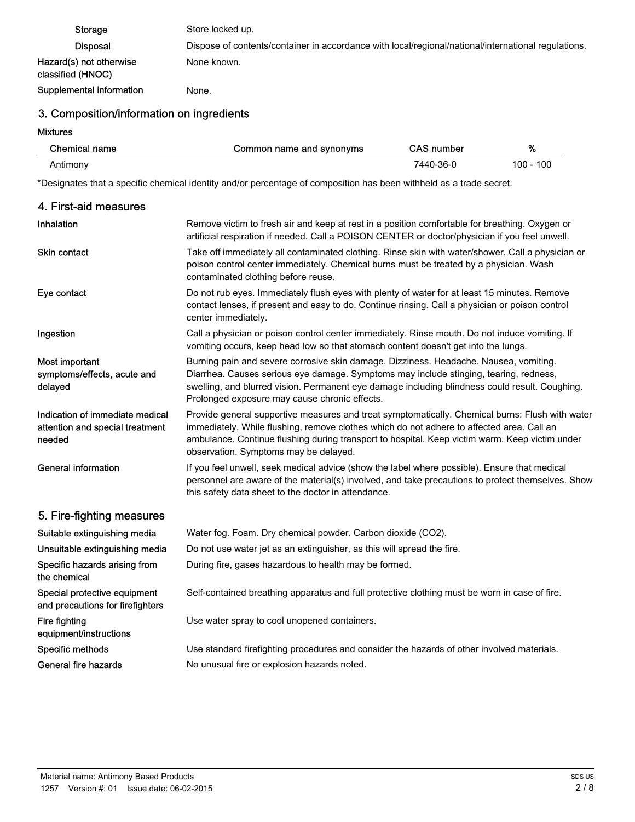| <b>Storage</b>                               | Store locked up.                                                                                    |
|----------------------------------------------|-----------------------------------------------------------------------------------------------------|
| <b>Disposal</b>                              | Dispose of contents/container in accordance with local/regional/national/international regulations. |
| Hazard(s) not otherwise<br>classified (HNOC) | None known.                                                                                         |
| Supplemental information                     | None.                                                                                               |

## 3. Composition/information on ingredients

Mixtures

| Chemical name | Common name and synonyms | <b>CAS</b> number | %         |
|---------------|--------------------------|-------------------|-----------|
| Antimony      |                          | 7440-36-0         | 100 - 100 |

\*Designates that a specific chemical identity and/or percentage of composition has been withheld as a trade secret.

| 4. First-aid measures                                                        |                                                                                                                                                                                                                                                                                                                                         |
|------------------------------------------------------------------------------|-----------------------------------------------------------------------------------------------------------------------------------------------------------------------------------------------------------------------------------------------------------------------------------------------------------------------------------------|
| Inhalation                                                                   | Remove victim to fresh air and keep at rest in a position comfortable for breathing. Oxygen or<br>artificial respiration if needed. Call a POISON CENTER or doctor/physician if you feel unwell.                                                                                                                                        |
| <b>Skin contact</b>                                                          | Take off immediately all contaminated clothing. Rinse skin with water/shower. Call a physician or<br>poison control center immediately. Chemical burns must be treated by a physician. Wash<br>contaminated clothing before reuse.                                                                                                      |
| Eye contact                                                                  | Do not rub eyes. Immediately flush eyes with plenty of water for at least 15 minutes. Remove<br>contact lenses, if present and easy to do. Continue rinsing. Call a physician or poison control<br>center immediately.                                                                                                                  |
| Ingestion                                                                    | Call a physician or poison control center immediately. Rinse mouth. Do not induce vomiting. If<br>vomiting occurs, keep head low so that stomach content doesn't get into the lungs.                                                                                                                                                    |
| Most important<br>symptoms/effects, acute and<br>delayed                     | Burning pain and severe corrosive skin damage. Dizziness. Headache. Nausea, vomiting.<br>Diarrhea. Causes serious eye damage. Symptoms may include stinging, tearing, redness,<br>swelling, and blurred vision. Permanent eye damage including blindness could result. Coughing.<br>Prolonged exposure may cause chronic effects.       |
| Indication of immediate medical<br>attention and special treatment<br>needed | Provide general supportive measures and treat symptomatically. Chemical burns: Flush with water<br>immediately. While flushing, remove clothes which do not adhere to affected area. Call an<br>ambulance. Continue flushing during transport to hospital. Keep victim warm. Keep victim under<br>observation. Symptoms may be delayed. |
| <b>General information</b>                                                   | If you feel unwell, seek medical advice (show the label where possible). Ensure that medical<br>personnel are aware of the material(s) involved, and take precautions to protect themselves. Show<br>this safety data sheet to the doctor in attendance.                                                                                |
| 5. Fire-fighting measures                                                    |                                                                                                                                                                                                                                                                                                                                         |
| Suitable extinguishing media                                                 | Water fog. Foam. Dry chemical powder. Carbon dioxide (CO2).                                                                                                                                                                                                                                                                             |
| Unsuitable extinguishing media                                               | Do not use water jet as an extinguisher, as this will spread the fire.                                                                                                                                                                                                                                                                  |
| Specific hazards arising from<br>the chemical                                | During fire, gases hazardous to health may be formed.                                                                                                                                                                                                                                                                                   |
| Special protective equipment<br>and precautions for firefighters             | Self-contained breathing apparatus and full protective clothing must be worn in case of fire.                                                                                                                                                                                                                                           |
| Fire fighting<br>equipment/instructions                                      | Use water spray to cool unopened containers.                                                                                                                                                                                                                                                                                            |
| Specific methods                                                             | Use standard firefighting procedures and consider the hazards of other involved materials.                                                                                                                                                                                                                                              |
| General fire hazards                                                         | No unusual fire or explosion hazards noted.                                                                                                                                                                                                                                                                                             |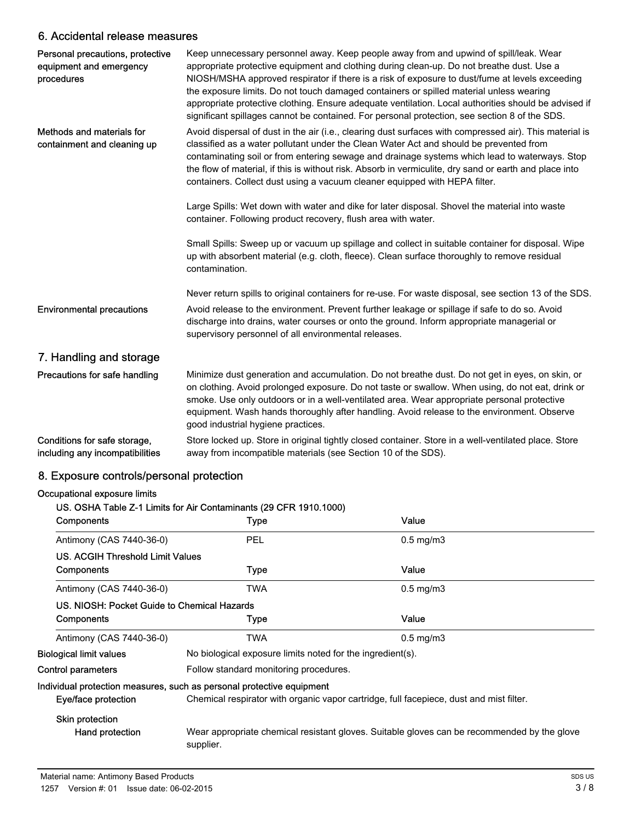## 6. Accidental release measures

| Personal precautions, protective<br>equipment and emergency<br>procedures | Keep unnecessary personnel away. Keep people away from and upwind of spill/leak. Wear<br>appropriate protective equipment and clothing during clean-up. Do not breathe dust. Use a<br>NIOSH/MSHA approved respirator if there is a risk of exposure to dust/fume at levels exceeding<br>the exposure limits. Do not touch damaged containers or spilled material unless wearing<br>appropriate protective clothing. Ensure adequate ventilation. Local authorities should be advised if<br>significant spillages cannot be contained. For personal protection, see section 8 of the SDS. |
|---------------------------------------------------------------------------|------------------------------------------------------------------------------------------------------------------------------------------------------------------------------------------------------------------------------------------------------------------------------------------------------------------------------------------------------------------------------------------------------------------------------------------------------------------------------------------------------------------------------------------------------------------------------------------|
| Methods and materials for<br>containment and cleaning up                  | Avoid dispersal of dust in the air (i.e., clearing dust surfaces with compressed air). This material is<br>classified as a water pollutant under the Clean Water Act and should be prevented from<br>contaminating soil or from entering sewage and drainage systems which lead to waterways. Stop<br>the flow of material, if this is without risk. Absorb in vermiculite, dry sand or earth and place into<br>containers. Collect dust using a vacuum cleaner equipped with HEPA filter.                                                                                               |
|                                                                           | Large Spills: Wet down with water and dike for later disposal. Shovel the material into waste<br>container. Following product recovery, flush area with water.                                                                                                                                                                                                                                                                                                                                                                                                                           |
|                                                                           | Small Spills: Sweep up or vacuum up spillage and collect in suitable container for disposal. Wipe<br>up with absorbent material (e.g. cloth, fleece). Clean surface thoroughly to remove residual<br>contamination.                                                                                                                                                                                                                                                                                                                                                                      |
|                                                                           | Never return spills to original containers for re-use. For waste disposal, see section 13 of the SDS.                                                                                                                                                                                                                                                                                                                                                                                                                                                                                    |
| <b>Environmental precautions</b>                                          | Avoid release to the environment. Prevent further leakage or spillage if safe to do so. Avoid<br>discharge into drains, water courses or onto the ground. Inform appropriate managerial or<br>supervisory personnel of all environmental releases.                                                                                                                                                                                                                                                                                                                                       |
| 7. Handling and storage                                                   |                                                                                                                                                                                                                                                                                                                                                                                                                                                                                                                                                                                          |
| Precautions for safe handling                                             | Minimize dust generation and accumulation. Do not breathe dust. Do not get in eyes, on skin, or<br>on clothing. Avoid prolonged exposure. Do not taste or swallow. When using, do not eat, drink or<br>smoke. Use only outdoors or in a well-ventilated area. Wear appropriate personal protective<br>equipment. Wash hands thoroughly after handling. Avoid release to the environment. Observe<br>good industrial hygiene practices.                                                                                                                                                   |
| Conditions for safe storage,<br>including any incompatibilities           | Store locked up. Store in original tightly closed container. Store in a well-ventilated place. Store<br>away from incompatible materials (see Section 10 of the SDS).                                                                                                                                                                                                                                                                                                                                                                                                                    |

## 8. Exposure controls/personal protection

#### Occupational exposure limits

|                                             | US. OSHA Table Z-1 Limits for Air Contaminants (29 CFR 1910.1000)                                        |                      |  |
|---------------------------------------------|----------------------------------------------------------------------------------------------------------|----------------------|--|
| Components                                  | Type                                                                                                     | Value                |  |
| Antimony (CAS 7440-36-0)                    | <b>PEL</b>                                                                                               | $0.5 \text{ mg/m}$ 3 |  |
| US. ACGIH Threshold Limit Values            |                                                                                                          |                      |  |
| Components                                  | Type                                                                                                     | Value                |  |
| Antimony (CAS 7440-36-0)                    | TWA                                                                                                      | $0.5$ mg/m $3$       |  |
| US. NIOSH: Pocket Guide to Chemical Hazards |                                                                                                          |                      |  |
| Components                                  | Type                                                                                                     | Value                |  |
| Antimony (CAS 7440-36-0)                    | TWA                                                                                                      | $0.5 \text{ mg/m}$ 3 |  |
| <b>Biological limit values</b>              | No biological exposure limits noted for the ingredient(s).                                               |                      |  |
| Control parameters                          | Follow standard monitoring procedures.                                                                   |                      |  |
|                                             | Individual protection measures, such as personal protective equipment                                    |                      |  |
| Eye/face protection                         | Chemical respirator with organic vapor cartridge, full facepiece, dust and mist filter.                  |                      |  |
| Skin protection                             |                                                                                                          |                      |  |
| Hand protection                             | Wear appropriate chemical resistant gloves. Suitable gloves can be recommended by the glove<br>supplier. |                      |  |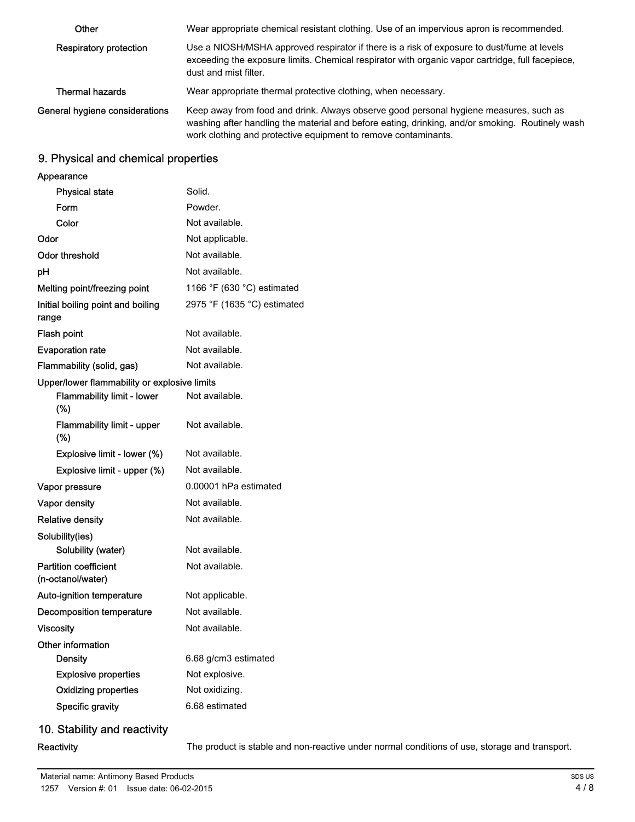| Other                          | Wear appropriate chemical resistant clothing. Use of an impervious apron is recommended.                                                                                                                                                                   |
|--------------------------------|------------------------------------------------------------------------------------------------------------------------------------------------------------------------------------------------------------------------------------------------------------|
| Respiratory protection         | Use a NIOSH/MSHA approved respirator if there is a risk of exposure to dust/fume at levels<br>exceeding the exposure limits. Chemical respirator with organic vapor cartridge, full facepiece,<br>dust and mist filter.                                    |
| <b>Thermal hazards</b>         | Wear appropriate thermal protective clothing, when necessary.                                                                                                                                                                                              |
| General hygiene considerations | Keep away from food and drink. Always observe good personal hygiene measures, such as<br>washing after handling the material and before eating, drinking, and/or smoking. Routinely wash<br>work clothing and protective equipment to remove contaminants. |

## 9. Physical and chemical properties

| Appearance                                        |                             |
|---------------------------------------------------|-----------------------------|
| <b>Physical state</b>                             | Solid.                      |
| Form                                              | Powder.                     |
| Color                                             | Not available.              |
| Odor                                              | Not applicable.             |
| Odor threshold                                    | Not available.              |
| рH                                                | Not available.              |
| Melting point/freezing point                      | 1166 °F (630 °C) estimated  |
| Initial boiling point and boiling<br>range        | 2975 °F (1635 °C) estimated |
| Flash point                                       | Not available.              |
| <b>Evaporation rate</b>                           | Not available.              |
| Flammability (solid, gas)                         | Not available.              |
| Upper/lower flammability or explosive limits      |                             |
| <b>Flammability limit - lower</b><br>(%)          | Not available.              |
| <b>Flammability limit - upper</b><br>(%)          | Not available.              |
| Explosive limit - lower (%)                       | Not available.              |
| Explosive limit - upper (%)                       | Not available.              |
| Vapor pressure                                    | 0.00001 hPa estimated       |
| Vapor density                                     | Not available.              |
| <b>Relative density</b>                           | Not available.              |
| Solubility(ies)                                   |                             |
| Solubility (water)                                | Not available.              |
| <b>Partition coefficient</b><br>(n-octanol/water) | Not available.              |
| Auto-ignition temperature                         | Not applicable.             |
| Decomposition temperature                         | Not available.              |
| <b>Viscosity</b>                                  | Not available.              |
| Other information                                 |                             |
| <b>Density</b>                                    | 6.68 g/cm3 estimated        |
| <b>Explosive properties</b>                       | Not explosive.              |
|                                                   | Not oxidizing.              |
| <b>Oxidizing properties</b>                       |                             |

## 10. Stability and reactivity

Reactivity The product is stable and non-reactive under normal conditions of use, storage and transport.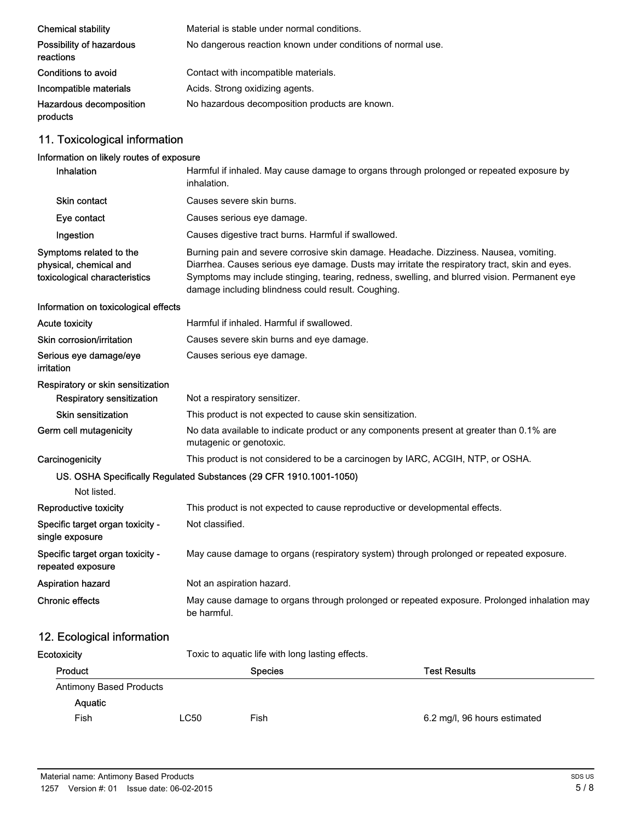| <b>Chemical stability</b>             | Material is stable under normal conditions.                 |
|---------------------------------------|-------------------------------------------------------------|
| Possibility of hazardous<br>reactions | No dangerous reaction known under conditions of normal use. |
| Conditions to avoid                   | Contact with incompatible materials.                        |
| Incompatible materials                | Acids. Strong oxidizing agents.                             |
| Hazardous decomposition<br>products   | No hazardous decomposition products are known.              |

## 11. Toxicological information

## Information on likely routes of exposure

| Inhalation                                                                         | Harmful if inhaled. May cause damage to organs through prolonged or repeated exposure by<br>inhalation.                                                                                                                                                                                                                                      |                                                                                          |  |
|------------------------------------------------------------------------------------|----------------------------------------------------------------------------------------------------------------------------------------------------------------------------------------------------------------------------------------------------------------------------------------------------------------------------------------------|------------------------------------------------------------------------------------------|--|
| <b>Skin contact</b>                                                                | Causes severe skin burns.                                                                                                                                                                                                                                                                                                                    |                                                                                          |  |
| Eye contact                                                                        | Causes serious eye damage.                                                                                                                                                                                                                                                                                                                   |                                                                                          |  |
| Ingestion                                                                          | Causes digestive tract burns. Harmful if swallowed.                                                                                                                                                                                                                                                                                          |                                                                                          |  |
| Symptoms related to the<br>physical, chemical and<br>toxicological characteristics | Burning pain and severe corrosive skin damage. Headache. Dizziness. Nausea, vomiting.<br>Diarrhea. Causes serious eye damage. Dusts may irritate the respiratory tract, skin and eyes.<br>Symptoms may include stinging, tearing, redness, swelling, and blurred vision. Permanent eye<br>damage including blindness could result. Coughing. |                                                                                          |  |
| Information on toxicological effects                                               |                                                                                                                                                                                                                                                                                                                                              |                                                                                          |  |
| <b>Acute toxicity</b>                                                              | Harmful if inhaled. Harmful if swallowed.                                                                                                                                                                                                                                                                                                    |                                                                                          |  |
| Skin corrosion/irritation                                                          | Causes severe skin burns and eye damage.                                                                                                                                                                                                                                                                                                     |                                                                                          |  |
| Serious eye damage/eye<br>irritation                                               | Causes serious eye damage.                                                                                                                                                                                                                                                                                                                   |                                                                                          |  |
| Respiratory or skin sensitization                                                  |                                                                                                                                                                                                                                                                                                                                              |                                                                                          |  |
| <b>Respiratory sensitization</b>                                                   | Not a respiratory sensitizer.                                                                                                                                                                                                                                                                                                                |                                                                                          |  |
| <b>Skin sensitization</b>                                                          | This product is not expected to cause skin sensitization.                                                                                                                                                                                                                                                                                    |                                                                                          |  |
| Germ cell mutagenicity                                                             | mutagenic or genotoxic.                                                                                                                                                                                                                                                                                                                      | No data available to indicate product or any components present at greater than 0.1% are |  |
| Carcinogenicity                                                                    |                                                                                                                                                                                                                                                                                                                                              | This product is not considered to be a carcinogen by IARC, ACGIH, NTP, or OSHA.          |  |
| Not listed.                                                                        | US. OSHA Specifically Regulated Substances (29 CFR 1910.1001-1050)                                                                                                                                                                                                                                                                           |                                                                                          |  |
| Reproductive toxicity                                                              |                                                                                                                                                                                                                                                                                                                                              | This product is not expected to cause reproductive or developmental effects.             |  |
| Specific target organ toxicity -<br>single exposure                                | Not classified.                                                                                                                                                                                                                                                                                                                              |                                                                                          |  |
| Specific target organ toxicity -<br>repeated exposure                              |                                                                                                                                                                                                                                                                                                                                              | May cause damage to organs (respiratory system) through prolonged or repeated exposure.  |  |
| <b>Aspiration hazard</b>                                                           | Not an aspiration hazard.                                                                                                                                                                                                                                                                                                                    |                                                                                          |  |
| Chronic effects                                                                    | May cause damage to organs through prolonged or repeated exposure. Prolonged inhalation may<br>be harmful.                                                                                                                                                                                                                                   |                                                                                          |  |
| 12. Ecological information                                                         |                                                                                                                                                                                                                                                                                                                                              |                                                                                          |  |
| Ecotoxicity                                                                        | Toxic to aquatic life with long lasting effects.                                                                                                                                                                                                                                                                                             |                                                                                          |  |
| Product                                                                            | <b>Species</b>                                                                                                                                                                                                                                                                                                                               | <b>Test Results</b>                                                                      |  |

| <b>Antimony Based Products</b> |      |      |                              |
|--------------------------------|------|------|------------------------------|
| Aquatic                        |      |      |                              |
| Fish                           | ∟C50 | Fish | 6.2 mg/l, 96 hours estimated |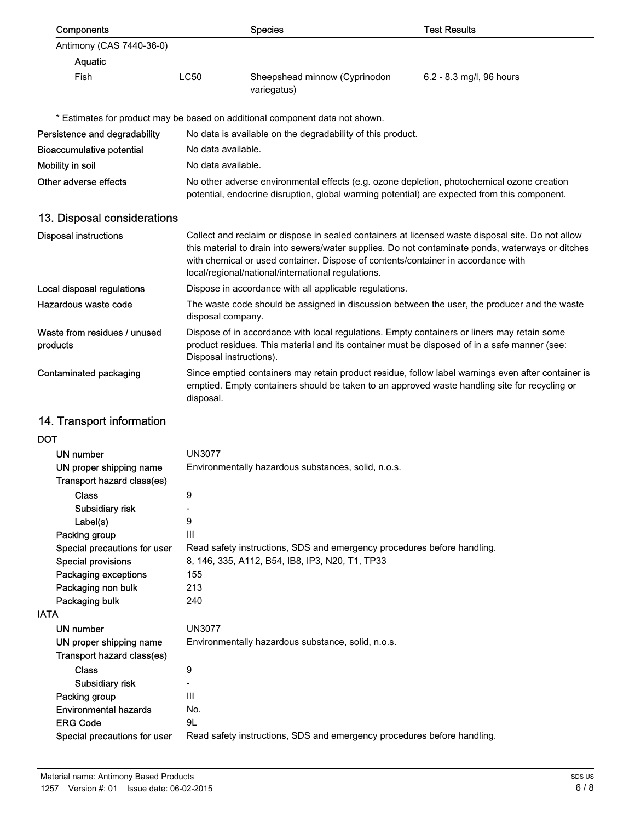| Components                                            |                                                                                                                                                                                                                        | <b>Species</b>                                                                                                                          | <b>Test Results</b>                                                                                                                                                                                    |  |
|-------------------------------------------------------|------------------------------------------------------------------------------------------------------------------------------------------------------------------------------------------------------------------------|-----------------------------------------------------------------------------------------------------------------------------------------|--------------------------------------------------------------------------------------------------------------------------------------------------------------------------------------------------------|--|
| Antimony (CAS 7440-36-0)                              |                                                                                                                                                                                                                        |                                                                                                                                         |                                                                                                                                                                                                        |  |
| Aquatic                                               |                                                                                                                                                                                                                        |                                                                                                                                         |                                                                                                                                                                                                        |  |
| Fish                                                  | <b>LC50</b>                                                                                                                                                                                                            | Sheepshead minnow (Cyprinodon<br>variegatus)                                                                                            | 6.2 - 8.3 mg/l, 96 hours                                                                                                                                                                               |  |
|                                                       |                                                                                                                                                                                                                        | * Estimates for product may be based on additional component data not shown.                                                            |                                                                                                                                                                                                        |  |
| Persistence and degradability                         |                                                                                                                                                                                                                        | No data is available on the degradability of this product.                                                                              |                                                                                                                                                                                                        |  |
| <b>Bioaccumulative potential</b>                      | No data available.                                                                                                                                                                                                     |                                                                                                                                         |                                                                                                                                                                                                        |  |
| Mobility in soil                                      | No data available.                                                                                                                                                                                                     |                                                                                                                                         |                                                                                                                                                                                                        |  |
| Other adverse effects                                 | No other adverse environmental effects (e.g. ozone depletion, photochemical ozone creation<br>potential, endocrine disruption, global warming potential) are expected from this component.                             |                                                                                                                                         |                                                                                                                                                                                                        |  |
| 13. Disposal considerations                           |                                                                                                                                                                                                                        |                                                                                                                                         |                                                                                                                                                                                                        |  |
| <b>Disposal instructions</b>                          |                                                                                                                                                                                                                        | with chemical or used container. Dispose of contents/container in accordance with<br>local/regional/national/international regulations. | Collect and reclaim or dispose in sealed containers at licensed waste disposal site. Do not allow<br>this material to drain into sewers/water supplies. Do not contaminate ponds, waterways or ditches |  |
| Local disposal regulations                            |                                                                                                                                                                                                                        | Dispose in accordance with all applicable regulations.                                                                                  |                                                                                                                                                                                                        |  |
| Hazardous waste code                                  | The waste code should be assigned in discussion between the user, the producer and the waste<br>disposal company.                                                                                                      |                                                                                                                                         |                                                                                                                                                                                                        |  |
| Waste from residues / unused<br>products              | Dispose of in accordance with local regulations. Empty containers or liners may retain some<br>product residues. This material and its container must be disposed of in a safe manner (see:<br>Disposal instructions). |                                                                                                                                         |                                                                                                                                                                                                        |  |
| Contaminated packaging                                | Since emptied containers may retain product residue, follow label warnings even after container is<br>emptied. Empty containers should be taken to an approved waste handling site for recycling or<br>disposal.       |                                                                                                                                         |                                                                                                                                                                                                        |  |
| 14. Transport information                             |                                                                                                                                                                                                                        |                                                                                                                                         |                                                                                                                                                                                                        |  |
| DOT                                                   |                                                                                                                                                                                                                        |                                                                                                                                         |                                                                                                                                                                                                        |  |
| UN number                                             | <b>UN3077</b>                                                                                                                                                                                                          |                                                                                                                                         |                                                                                                                                                                                                        |  |
| UN proper shipping name<br>Transport hazard class(es) |                                                                                                                                                                                                                        | Environmentally hazardous substances, solid, n.o.s.                                                                                     |                                                                                                                                                                                                        |  |
| <b>Class</b>                                          | 9                                                                                                                                                                                                                      |                                                                                                                                         |                                                                                                                                                                                                        |  |
| Subsidiary risk                                       |                                                                                                                                                                                                                        |                                                                                                                                         |                                                                                                                                                                                                        |  |
| Label(s)                                              | 9                                                                                                                                                                                                                      |                                                                                                                                         |                                                                                                                                                                                                        |  |
| Packing group                                         | Ш                                                                                                                                                                                                                      |                                                                                                                                         |                                                                                                                                                                                                        |  |
| Special precautions for user<br>Special provisions    | Read safety instructions, SDS and emergency procedures before handling.<br>8, 146, 335, A112, B54, IB8, IP3, N20, T1, TP33                                                                                             |                                                                                                                                         |                                                                                                                                                                                                        |  |
| Packaging exceptions                                  | 155                                                                                                                                                                                                                    |                                                                                                                                         |                                                                                                                                                                                                        |  |
| Packaging non bulk                                    | 213                                                                                                                                                                                                                    |                                                                                                                                         |                                                                                                                                                                                                        |  |
| Packaging bulk                                        | 240                                                                                                                                                                                                                    |                                                                                                                                         |                                                                                                                                                                                                        |  |
| IATA                                                  |                                                                                                                                                                                                                        |                                                                                                                                         |                                                                                                                                                                                                        |  |
| <b>UN number</b>                                      | <b>UN3077</b>                                                                                                                                                                                                          |                                                                                                                                         |                                                                                                                                                                                                        |  |
| UN proper shipping name                               |                                                                                                                                                                                                                        | Environmentally hazardous substance, solid, n.o.s.                                                                                      |                                                                                                                                                                                                        |  |
| Transport hazard class(es)                            |                                                                                                                                                                                                                        |                                                                                                                                         |                                                                                                                                                                                                        |  |
| <b>Class</b>                                          | 9                                                                                                                                                                                                                      |                                                                                                                                         |                                                                                                                                                                                                        |  |
| Subsidiary risk                                       | $\overline{\phantom{a}}$                                                                                                                                                                                               |                                                                                                                                         |                                                                                                                                                                                                        |  |
| Packing group                                         | Ш                                                                                                                                                                                                                      |                                                                                                                                         |                                                                                                                                                                                                        |  |
| <b>Environmental hazards</b>                          | No.                                                                                                                                                                                                                    |                                                                                                                                         |                                                                                                                                                                                                        |  |
| <b>ERG Code</b>                                       | 9L                                                                                                                                                                                                                     |                                                                                                                                         |                                                                                                                                                                                                        |  |
| Special precautions for user                          |                                                                                                                                                                                                                        | Read safety instructions, SDS and emergency procedures before handling.                                                                 |                                                                                                                                                                                                        |  |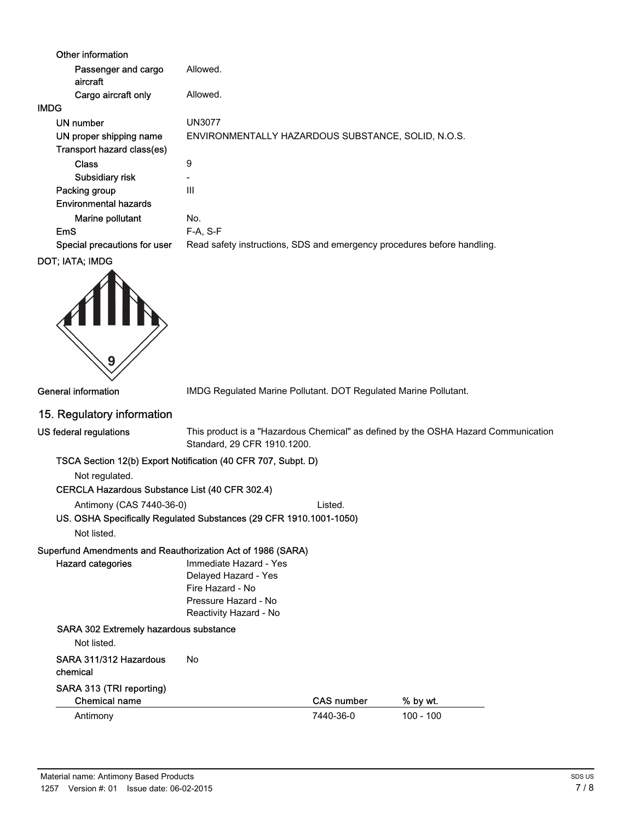| Other information               |                                                                         |
|---------------------------------|-------------------------------------------------------------------------|
| Passenger and cargo<br>aircraft | Allowed.                                                                |
| Cargo aircraft only             | Allowed.                                                                |
| <b>IMDG</b>                     |                                                                         |
| UN number                       | UN3077                                                                  |
| UN proper shipping name         | ENVIRONMENTALLY HAZARDOUS SUBSTANCE, SOLID, N.O.S.                      |
| Transport hazard class(es)      |                                                                         |
| <b>Class</b>                    | 9                                                                       |
| Subsidiary risk                 | $\overline{\phantom{0}}$                                                |
| Packing group                   | Ш                                                                       |
| <b>Environmental hazards</b>    |                                                                         |
| Marine pollutant                | No.                                                                     |
| <b>EmS</b>                      | $F-A, S-F$                                                              |
| Special precautions for user    | Read safety instructions, SDS and emergency procedures before handling. |
| DOT; IATA; IMDG                 |                                                                         |



General information **IMDG** Regulated Marine Pollutant. DOT Regulated Marine Pollutant.

## 15. Regulatory information

|  | US federal regulations |
|--|------------------------|
|--|------------------------|

This product is a "Hazardous Chemical" as defined by the OSHA Hazard Communication Standard, 29 CFR 1910.1200.

#### TSCA Section 12(b) Export Notification (40 CFR 707, Subpt. D)

Antimony (CAS 7440-36-0) Listed.

Not regulated.

#### CERCLA Hazardous Substance List (40 CFR 302.4)

US. OSHA Specifically Regulated Substances (29 CFR 1910.1001-1050)

Not listed.

Hazard categories

#### Superfund Amendments and Reauthorization Act of 1986 (SARA)

| Immediate Hazard - Yes |
|------------------------|
| Delayed Hazard - Yes   |
| Fire Hazard - No       |
| Pressure Hazard - No   |
| Reactivity Hazard - No |
|                        |

#### SARA 302 Extremely hazardous substance

Not listed.

#### SARA 311/312 Hazardous No

chemical

#### SARA 313 (TRI reporting)

| Chemical name | <b>CAS number</b> | % by wt.  |
|---------------|-------------------|-----------|
| Antimony      | 7440-36-0         | 100 - 100 |